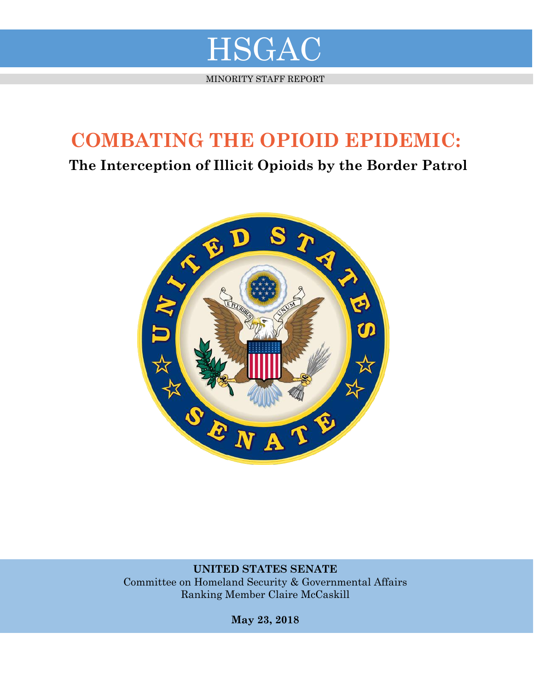

MINORITY STAFF REPORT

# **COMBATING THE OPIOID EPIDEMIC:**

**The Interception of Illicit Opioids by the Border Patrol**



**UNITED STATES SENATE** Committee on Homeland Security & Governmental Affairs Ranking Member Claire McCaskill

**May 23, 2018**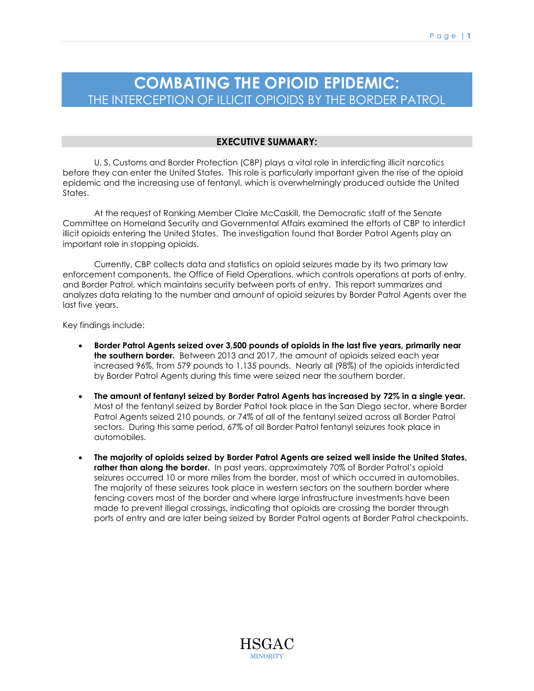# **COMBATING THE OPIOID EPIDEMIC:** THE INTERCEPTION OF ILLICIT OPIOIDS BY THE BORDER PATROL

# **EXECUTIVE SUMMARY:**

U. S. Customs and Border Protection (CBP) plays a vital role in interdicting illicit narcotics before they can enter the United States. This role is particularly important given the rise of the opioid epidemic and the increasing use of fentanyl, which is overwhelmingly produced outside the United States.

At the request of Ranking Member Claire McCaskill, the Democratic staff of the Senate Committee on Homeland Security and Governmental Affairs examined the efforts of CBP to interdict illicit opioids entering the United States. The investigation found that Border Patrol Agents play an important role in stopping opioids.

Currently, CBP collects data and statistics on opioid seizures made by its two primary law enforcement components, the Office of Field Operations, which controls operations at ports of entry, and Border Patrol, which maintains security between ports of entry. This report summarizes and analyzes data relating to the number and amount of opioid seizures by Border Patrol Agents over the last five years.

Key findings include:

- **Border Patrol Agents seized over 3,500 pounds of opioids in the last five years, primarily near the southern border.** Between 2013 and 2017, the amount of opioids seized each year increased 96%, from 579 pounds to 1,135 pounds. Nearly all (98%) of the opioids interdicted by Border Patrol Agents during this time were seized near the southern border.
- **The amount of fentanyl seized by Border Patrol Agents has increased by 72% in a single year.** Most of the fentanyl seized by Border Patrol took place in the San Diego sector, where Border Patrol Agents seized 210 pounds, or 74% of all of the fentanyl seized across all Border Patrol sectors. During this same period, 67% of all Border Patrol fentanyl seizures took place in automobiles.
- **The majority of opioids seized by Border Patrol Agents are seized well inside the United States, rather than along the border.** In past years, approximately 70% of Border Patrol's opioid seizures occurred 10 or more miles from the border, most of which occurred in automobiles. The majority of these seizures took place in western sectors on the southern border where fencing covers most of the border and where large infrastructure investments have been made to prevent illegal crossings, indicating that opioids are crossing the border through ports of entry and are later being seized by Border Patrol agents at Border Patrol checkpoints.

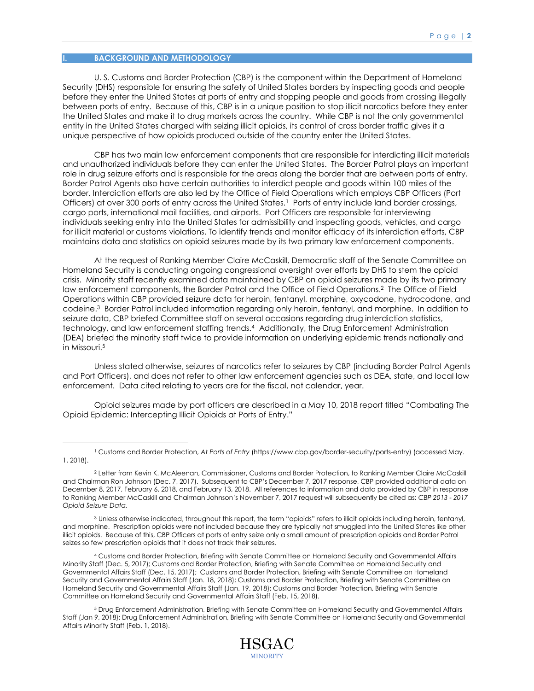# **I. BACKGROUND AND METHODOLOGY**

 $\overline{a}$ 

U. S. Customs and Border Protection (CBP) is the component within the Department of Homeland Security (DHS) responsible for ensuring the safety of United States borders by inspecting goods and people before they enter the United States at ports of entry and stopping people and goods from crossing illegally between ports of entry. Because of this, CBP is in a unique position to stop illicit narcotics before they enter the United States and make it to drug markets across the country. While CBP is not the only governmental entity in the United States charged with seizing illicit opioids, its control of cross border traffic gives it a unique perspective of how opioids produced outside of the country enter the United States.

CBP has two main law enforcement components that are responsible for interdicting illicit materials and unauthorized individuals before they can enter the United States. The Border Patrol plays an important role in drug seizure efforts and is responsible for the areas along the border that are between ports of entry. Border Patrol Agents also have certain authorities to interdict people and goods within 100 miles of the border. Interdiction efforts are also led by the Office of Field Operations which employs CBP Officers (Port Officers) at over 300 ports of entry across the United States.<sup>1</sup> Ports of entry include land border crossings, cargo ports, international mail facilities, and airports. Port Officers are responsible for interviewing individuals seeking entry into the United States for admissibility and inspecting goods, vehicles, and cargo for illicit material or customs violations. To identify trends and monitor efficacy of its interdiction efforts, CBP maintains data and statistics on opioid seizures made by its two primary law enforcement components.

At the request of Ranking Member Claire McCaskill, Democratic staff of the Senate Committee on Homeland Security is conducting ongoing congressional oversight over efforts by DHS to stem the opioid crisis. Minority staff recently examined data maintained by CBP on opioid seizures made by its two primary law enforcement components, the Border Patrol and the Office of Field Operations. 2 The Office of Field Operations within CBP provided seizure data for heroin, fentanyl, morphine, oxycodone, hydrocodone, and codeine.<sup>3</sup> Border Patrol included information regarding only heroin, fentanyl, and morphine. In addition to seizure data, CBP briefed Committee staff on several occasions regarding drug interdiction statistics, technology, and law enforcement staffing trends.<sup>4</sup> Additionally, the Drug Enforcement Administration (DEA) briefed the minority staff twice to provide information on underlying epidemic trends nationally and in Missouri.<sup>5</sup>

Unless stated otherwise, seizures of narcotics refer to seizures by CBP (including Border Patrol Agents and Port Officers), and does not refer to other law enforcement agencies such as DEA, state, and local law enforcement. Data cited relating to years are for the fiscal, not calendar, year.

Opioid seizures made by port officers are described in a May 10, 2018 report titled "Combating The Opioid Epidemic: Intercepting Illicit Opioids at Ports of Entry."

<sup>3</sup> Unless otherwise indicated, throughout this report, the term "opioids" refers to illicit opioids including heroin, fentanyl, and morphine. Prescription opioids were not included because they are typically not smuggled into the United States like other illicit opioids. Because of this, CBP Officers at ports of entry seize only a small amount of prescription opioids and Border Patrol seizes so few prescription opioids that it does not track their seizures.

<sup>4</sup> Customs and Border Protection, Briefing with Senate Committee on Homeland Security and Governmental Affairs Minority Staff (Dec. 5, 2017); Customs and Border Protection, Briefing with Senate Committee on Homeland Security and Governmental Affairs Staff (Dec. 15, 2017); Customs and Border Protection, Briefing with Senate Committee on Homeland Security and Governmental Affairs Staff (Jan. 18, 2018); Customs and Border Protection, Briefing with Senate Committee on Homeland Security and Governmental Affairs Staff (Jan. 19, 2018); Customs and Border Protection, Briefing with Senate Committee on Homeland Security and Governmental Affairs Staff (Feb. 15, 2018).

<sup>5</sup> Drug Enforcement Administration, Briefing with Senate Committee on Homeland Security and Governmental Affairs Staff (Jan 9, 2018); Drug Enforcement Administration, Briefing with Senate Committee on Homeland Security and Governmental Affairs Minority Staff (Feb. 1, 2018).



<sup>1</sup> Customs and Border Protection, *At Ports of Entry* (https://www.cbp.gov/border-security/ports-entry) (accessed May. 1, 2018).

<sup>2</sup> Letter from Kevin K. McAleenan, Commissioner, Customs and Border Protection, to Ranking Member Claire McCaskill and Chairman Ron Johnson (Dec. 7, 2017). Subsequent to CBP's December 7, 2017 response, CBP provided additional data on December 8, 2017, February 6, 2018, and February 13, 2018. All references to information and data provided by CBP in response to Ranking Member McCaskill and Chairman Johnson's November 7, 2017 request will subsequently be cited as: *CBP 2013 - 2017 Opioid Seizure Data.*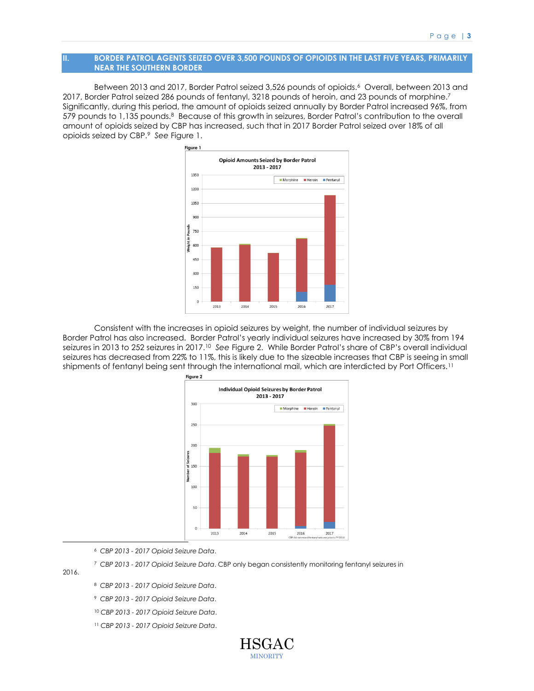#### **II. BORDER PATROL AGENTS SEIZED OVER 3,500 POUNDS OF OPIOIDS IN THE LAST FIVE YEARS, PRIMARILY NEAR THE SOUTHERN BORDER**

Between 2013 and 2017, Border Patrol seized 3,526 pounds of opioids.<sup>6</sup> Overall, between 2013 and 2017, Border Patrol seized 286 pounds of fentanyl, 3218 pounds of heroin, and 23 pounds of morphine.<sup>7</sup> Significantly, during this period, the amount of opioids seized annually by Border Patrol increased 96%, from 579 pounds to 1,135 pounds.<sup>8</sup> Because of this growth in seizures, Border Patrol's contribution to the overall amount of opioids seized by CBP has increased, such that in 2017 Border Patrol seized over 18% of all opioids seized by CBP.<sup>9</sup> *See* Figure 1.



Consistent with the increases in opioid seizures by weight, the number of individual seizures by Border Patrol has also increased. Border Patrol's yearly individual seizures have increased by 30% from 194 seizures in 2013 to 252 seizures in 2017.<sup>10</sup> *See* Figure 2. While Border Patrol's share of CBP's overall individual seizures has decreased from 22% to 11%, this is likely due to the sizeable increases that CBP is seeing in small shipments of fentanyl being sent through the international mail, which are interdicted by Port Officers.<sup>11</sup>



<sup>6</sup> *CBP 2013 - 2017 Opioid Seizure Data*.

<sup>7</sup> *CBP 2013 - 2017 Opioid Seizure Data*. CBP only began consistently monitoring fentanyl seizures in

2016.

 $\overline{a}$ 

<sup>8</sup> *CBP 2013 - 2017 Opioid Seizure Data*.

<sup>9</sup> *CBP 2013 - 2017 Opioid Seizure Data*.

<sup>10</sup> *CBP 2013 - 2017 Opioid Seizure Data*.

<sup>11</sup> *CBP 2013 - 2017 Opioid Seizure Data*.

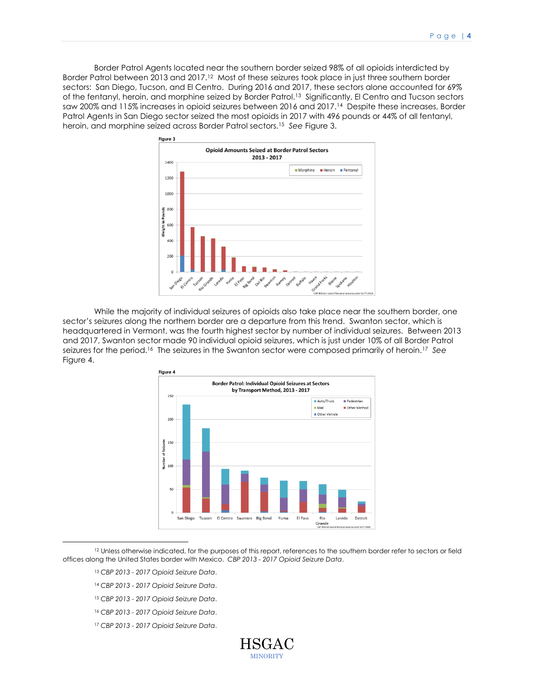Border Patrol Agents located near the southern border seized 98% of all opioids interdicted by Border Patrol between 2013 and 2017.<sup>12</sup> Most of these seizures took place in just three southern border sectors: San Diego, Tucson, and El Centro. During 2016 and 2017, these sectors alone accounted for 69% of the fentanyl, heroin, and morphine seized by Border Patrol.<sup>13</sup> Significantly, El Centro and Tucson sectors saw 200% and 115% increases in opioid seizures between 2016 and 2017.<sup>14</sup> Despite these increases, Border Patrol Agents in San Diego sector seized the most opioids in 2017 with 496 pounds or 44% of all fentanyl, heroin, and morphine seized across Border Patrol sectors.<sup>15</sup> *See* Figure 3.



While the majority of individual seizures of opioids also take place near the southern border, one sector's seizures along the northern border are a departure from this trend. Swanton sector, which is headquartered in Vermont, was the fourth highest sector by number of individual seizures. Between 2013 and 2017, Swanton sector made 90 individual opioid seizures, which is just under 10% of all Border Patrol seizures for the period.<sup>16</sup> The seizures in the Swanton sector were composed primarily of heroin.<sup>17</sup> See Figure 4.



<sup>12</sup> Unless otherwise indicated, for the purposes of this report, references to the southern border refer to sectors or field offices along the United States border with Mexico. *CBP 2013 - 2017 Opioid Seizure Data*.

<sup>13</sup> *CBP 2013 - 2017 Opioid Seizure Data*.

 $\overline{a}$ 

- <sup>14</sup> *CBP 2013 - 2017 Opioid Seizure Data*.
- <sup>15</sup> *CBP 2013 - 2017 Opioid Seizure Data*.
- <sup>16</sup> *CBP 2013 - 2017 Opioid Seizure Data*.
- <sup>17</sup> *CBP 2013 - 2017 Opioid Seizure Data*.

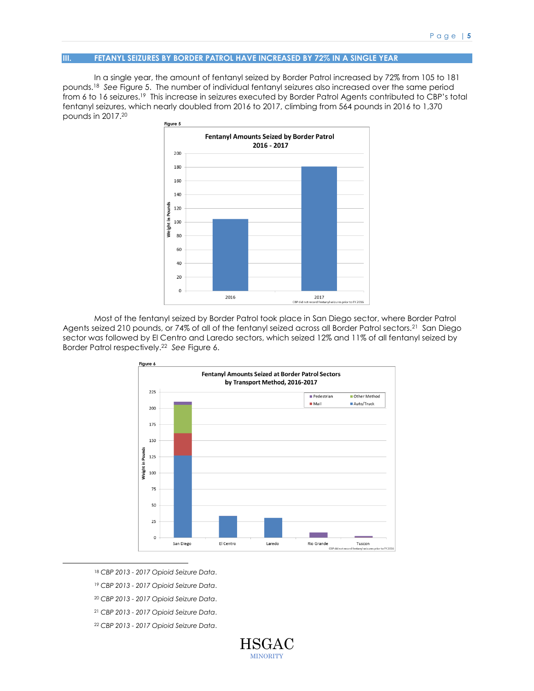## **III. FETANYL SEIZURES BY BORDER PATROL HAVE INCREASED BY 72% IN A SINGLE YEAR**

In a single year, the amount of fentanyl seized by Border Patrol increased by 72% from 105 to 181 pounds.<sup>18</sup> *See* Figure 5.The number of individual fentanyl seizures also increased over the same period from 6 to 16 seizures.<sup>19</sup> This increase in seizures executed by Border Patrol Agents contributed to CBP's total fentanyl seizures, which nearly doubled from 2016 to 2017, climbing from 564 pounds in 2016 to 1,370 pounds in 2017.<sup>20</sup>



Most of the fentanyl seized by Border Patrol took place in San Diego sector, where Border Patrol Agents seized 210 pounds, or 74% of all of the fentanyl seized across all Border Patrol sectors.<sup>21</sup> San Diego sector was followed by El Centro and Laredo sectors, which seized 12% and 11% of all fentanyl seized by Border Patrol respectively.<sup>22</sup> *See* Figure 6.



<sup>18</sup> *CBP 2013 - 2017 Opioid Seizure Data*.

 $\overline{a}$ 

<sup>19</sup> *CBP 2013 - 2017 Opioid Seizure Data*.

<sup>20</sup> *CBP 2013 - 2017 Opioid Seizure Data*.

<sup>21</sup> *CBP 2013 - 2017 Opioid Seizure Data*.

<sup>22</sup> *CBP 2013 - 2017 Opioid Seizure Data*.

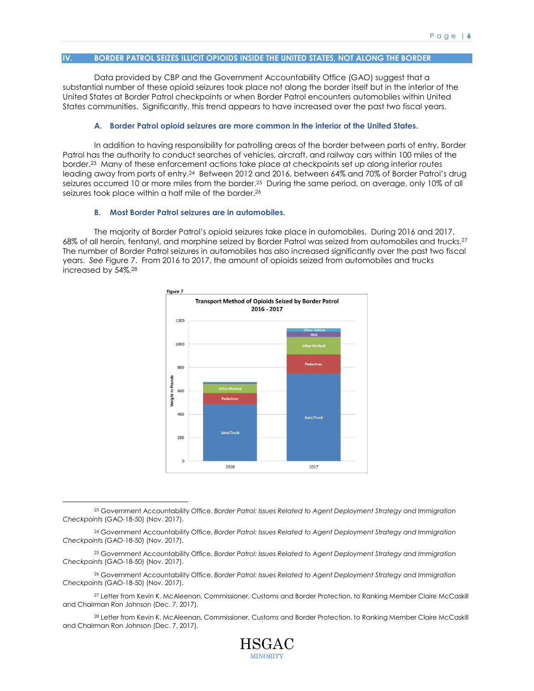## **IV. BORDER PATROL SEIZES ILLICIT OPIOIDS INSIDE THE UNITED STATES, NOT ALONG THE BORDER**

Data provided by CBP and the Government Accountability Office (GAO) suggest that a substantial number of these opioid seizures took place not along the border itself but in the interior of the United States at Border Patrol checkpoints or when Border Patrol encounters automobiles within United States communities. Significantly, this trend appears to have increased over the past two fiscal years.

#### **A. Border Patrol opioid seizures are more common in the interior of the United States.**

In addition to having responsibility for patrolling areas of the border between ports of entry, Border Patrol has the authority to conduct searches of vehicles, aircraft, and railway cars within 100 miles of the border.<sup>23</sup> Many of these enforcement actions take place at checkpoints set up along interior routes leading away from ports of entry.<sup>24</sup> Between 2012 and 2016, between 64% and 70% of Border Patrol's drug seizures occurred 10 or more miles from the border.<sup>25</sup> During the same period, on average, only 10% of all seizures took place within a half mile of the border.<sup>26</sup>

#### **B. Most Border Patrol seizures are in automobiles.**

 $\overline{a}$ 

The majority of Border Patrol's opioid seizures take place in automobiles. During 2016 and 2017, 68% of all heroin, fentanyl, and morphine seized by Border Patrol was seized from automobiles and trucks.<sup>27</sup> The number of Border Patrol seizures in automobiles has also increased significantly over the past two fiscal years. *See* Figure 7. From 2016 to 2017, the amount of opioids seized from automobiles and trucks increased by 54%.<sup>28</sup>



<sup>23</sup> Government Accountability Office, *Border Patrol: Issues Related to Agent Deployment Strategy and Immigration Checkpoints* (GAO-18-50) (Nov. 2017).

<sup>26</sup> Government Accountability Office, *Border Patrol: Issues Related to Agent Deployment Strategy and Immigration Checkpoints* (GAO-18-50) (Nov. 2017).

<sup>27</sup> Letter from Kevin K. McAleenan, Commissioner, Customs and Border Protection, to Ranking Member Claire McCaskill and Chairman Ron Johnson (Dec. 7, 2017).

<sup>28</sup> Letter from Kevin K. McAleenan, Commissioner, Customs and Border Protection, to Ranking Member Claire McCaskill and Chairman Ron Johnson (Dec. 7, 2017).



<sup>24</sup> Government Accountability Office, *Border Patrol: Issues Related to Agent Deployment Strategy and Immigration Checkpoints* (GAO-18-50) (Nov. 2017).

<sup>25</sup> Government Accountability Office, *Border Patrol: Issues Related to Agent Deployment Strategy and Immigration Checkpoints* (GAO-18-50) (Nov. 2017).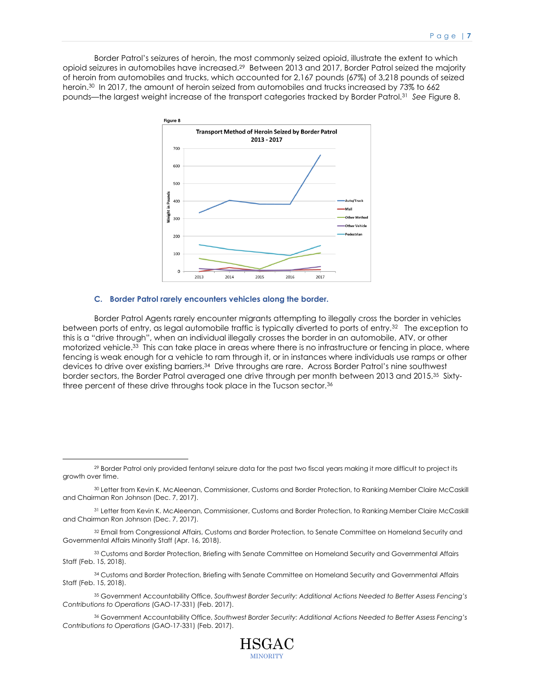Border Patrol's seizures of heroin, the most commonly seized opioid, illustrate the extent to which opioid seizures in automobiles have increased.<sup>29</sup> Between 2013 and 2017, Border Patrol seized the majority of heroin from automobiles and trucks, which accounted for 2,167 pounds (67%) of 3,218 pounds of seized heroin.<sup>30</sup> In 2017, the amount of heroin seized from automobiles and trucks increased by 73% to 662 pounds—the largest weight increase of the transport categories tracked by Border Patrol.<sup>31</sup> *See* Figure 8.



#### **C. Border Patrol rarely encounters vehicles along the border.**

 $\overline{a}$ 

Border Patrol Agents rarely encounter migrants attempting to illegally cross the border in vehicles between ports of entry, as legal automobile traffic is typically diverted to ports of entry.<sup>32</sup> The exception to this is a "drive through", when an individual illegally crosses the border in an automobile, ATV, or other motorized vehicle.<sup>33</sup> This can take place in areas where there is no infrastructure or fencing in place, where fencing is weak enough for a vehicle to ram through it, or in instances where individuals use ramps or other devices to drive over existing barriers.<sup>34</sup> Drive throughs are rare. Across Border Patrol's nine southwest border sectors, the Border Patrol averaged one drive through per month between 2013 and 2015.<sup>35</sup> Sixtythree percent of these drive throughs took place in the Tucson sector.<sup>36</sup>

<sup>34</sup> Customs and Border Protection, Briefing with Senate Committee on Homeland Security and Governmental Affairs Staff (Feb. 15, 2018).

<sup>35</sup> Government Accountability Office, *Southwest Border Security: Additional Actions Needed to Better Assess Fencing's Contributions to Operations* (GAO-17-331) (Feb. 2017).

<sup>36</sup> Government Accountability Office, *Southwest Border Security: Additional Actions Needed to Better Assess Fencing's Contributions to Operations* (GAO-17-331) (Feb. 2017).



<sup>29</sup> Border Patrol only provided fentanyl seizure data for the past two fiscal years making it more difficult to project its growth over time.

<sup>30</sup> Letter from Kevin K. McAleenan, Commissioner, Customs and Border Protection, to Ranking Member Claire McCaskill and Chairman Ron Johnson (Dec. 7, 2017).

<sup>31</sup> Letter from Kevin K. McAleenan, Commissioner, Customs and Border Protection, to Ranking Member Claire McCaskill and Chairman Ron Johnson (Dec. 7, 2017).

<sup>32</sup> Email from Congressional Affairs, Customs and Border Protection, to Senate Committee on Homeland Security and Governmental Affairs Minority Staff (Apr. 16, 2018).

<sup>33</sup> Customs and Border Protection, Briefing with Senate Committee on Homeland Security and Governmental Affairs Staff (Feb. 15, 2018).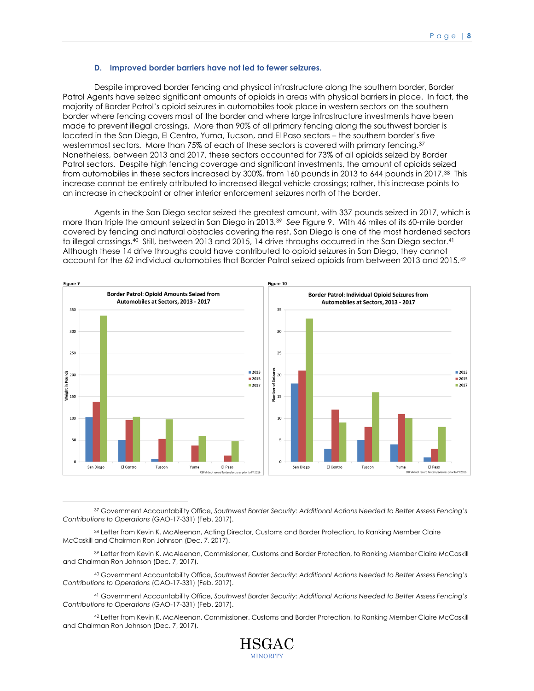#### **D. Improved border barriers have not led to fewer seizures.**

Despite improved border fencing and physical infrastructure along the southern border, Border Patrol Agents have seized significant amounts of opioids in areas with physical barriers in place. In fact, the majority of Border Patrol's opioid seizures in automobiles took place in western sectors on the southern border where fencing covers most of the border and where large infrastructure investments have been made to prevent illegal crossings. More than 90% of all primary fencing along the southwest border is located in the San Diego, El Centro, Yuma, Tucson, and El Paso sectors – the southern border's five westernmost sectors. More than 75% of each of these sectors is covered with primary fencing.<sup>37</sup> Nonetheless, between 2013 and 2017, these sectors accounted for 73% of all opioids seized by Border Patrol sectors. Despite high fencing coverage and significant investments, the amount of opioids seized from automobiles in these sectors increased by 300%, from 160 pounds in 2013 to 644 pounds in 2017.<sup>38</sup> This increase cannot be entirely attributed to increased illegal vehicle crossings; rather, this increase points to an increase in checkpoint or other interior enforcement seizures north of the border.

Agents in the San Diego sector seized the greatest amount, with 337 pounds seized in 2017, which is more than triple the amount seized in San Diego in 2013.<sup>39</sup> *See* Figure 9. With 46 miles of its 60-mile border covered by fencing and natural obstacles covering the rest, San Diego is one of the most hardened sectors to illegal crossings.<sup>40</sup> Still, between 2013 and 2015, 14 drive throughs occurred in the San Diego sector.<sup>41</sup> Although these 14 drive throughs could have contributed to opioid seizures in San Diego, they cannot account for the 62 individual automobiles that Border Patrol seized opioids from between 2013 and 2015.<sup>42</sup>



<sup>37</sup> Government Accountability Office, *Southwest Border Security: Additional Actions Needed to Better Assess Fencing's Contributions to Operations* (GAO-17-331) (Feb. 2017).

<sup>38</sup> Letter from Kevin K. McAleenan, Acting Director, Customs and Border Protection, to Ranking Member Claire McCaskill and Chairman Ron Johnson (Dec. 7, 2017).

 $\overline{a}$ 

<sup>39</sup> Letter from Kevin K. McAleenan, Commissioner, Customs and Border Protection, to Ranking Member Claire McCaskill and Chairman Ron Johnson (Dec. 7, 2017).

<sup>40</sup> Government Accountability Office, *Southwest Border Security: Additional Actions Needed to Better Assess Fencing's Contributions to Operations* (GAO-17-331) (Feb. 2017).

<sup>41</sup> Government Accountability Office, *Southwest Border Security: Additional Actions Needed to Better Assess Fencing's Contributions to Operations* (GAO-17-331) (Feb. 2017).

<sup>42</sup> Letter from Kevin K. McAleenan, Commissioner, Customs and Border Protection, to Ranking Member Claire McCaskill and Chairman Ron Johnson (Dec. 7, 2017).